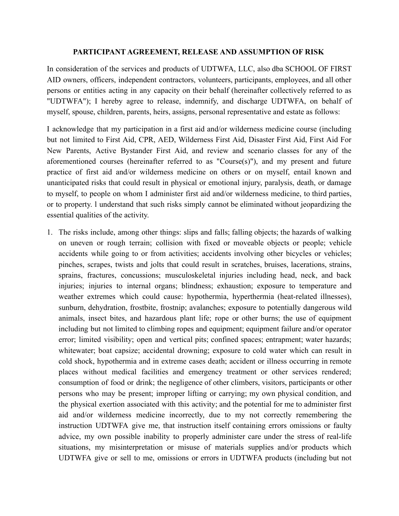## **PARTICIPANT AGREEMENT, RELEASE AND ASSUMPTION OF RISK**

In consideration of the services and products of UDTWFA, LLC, also dba SCHOOL OF FIRST AID owners, officers, independent contractors, volunteers, participants, employees, and all other persons or entities acting in any capacity on their behalf (hereinafter collectively referred to as "UDTWFA"); I hereby agree to release, indemnify, and discharge UDTWFA, on behalf of myself, spouse, children, parents, heirs, assigns, personal representative and estate as follows:

I acknowledge that my participation in a first aid and/or wilderness medicine course (including but not limited to First Aid, CPR, AED, Wilderness First Aid, Disaster First Aid, First Aid For New Parents, Active Bystander First Aid, and review and scenario classes for any of the aforementioned courses (hereinafter referred to as "Course(s)"), and my present and future practice of first aid and/or wilderness medicine on others or on myself, entail known and unanticipated risks that could result in physical or emotional injury, paralysis, death, or damage to myself, to people on whom I administer first aid and/or wilderness medicine, to third parties, or to property. l understand that such risks simply cannot be eliminated without jeopardizing the essential qualities of the activity.

1. The risks include, among other things: slips and falls; falling objects; the hazards of walking on uneven or rough terrain; collision with fixed or moveable objects or people; vehicle accidents while going to or from activities; accidents involving other bicycles or vehicles; pinches, scrapes, twists and jolts that could result in scratches, bruises, lacerations, strains, sprains, fractures, concussions; musculoskeletal injuries including head, neck, and back injuries; injuries to internal organs; blindness; exhaustion; exposure to temperature and weather extremes which could cause: hypothermia, hyperthermia (heat-related illnesses), sunburn, dehydration, frostbite, frostnip; avalanches; exposure to potentially dangerous wild animals, insect bites, and hazardous plant life; rope or other burns; the use of equipment including but not limited to climbing ropes and equipment; equipment failure and/or operator error; limited visibility; open and vertical pits; confined spaces; entrapment; water hazards; whitewater; boat capsize; accidental drowning; exposure to cold water which can result in cold shock, hypothermia and in extreme cases death; accident or illness occurring in remote places without medical facilities and emergency treatment or other services rendered; consumption of food or drink; the negligence of other climbers, visitors, participants or other persons who may be present; improper lifting or carrying; my own physical condition, and the physical exertion associated with this activity; and the potential for me to administer first aid and/or wilderness medicine incorrectly, due to my not correctly remembering the instruction UDTWFA give me, that instruction itself containing errors omissions or faulty advice, my own possible inability to properly administer care under the stress of real-life situations, my misinterpretation or misuse of materials supplies and/or products which UDTWFA give or sell to me, omissions or errors in UDTWFA products (including but not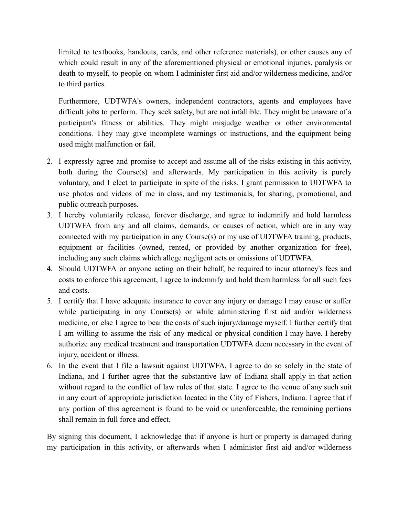limited to textbooks, handouts, cards, and other reference materials), or other causes any of which could result in any of the aforementioned physical or emotional injuries, paralysis or death to myself, to people on whom I administer first aid and/or wilderness medicine, and/or to third parties.

Furthermore, UDTWFA's owners, independent contractors, agents and employees have difficult jobs to perform. They seek safety, but are not infallible. They might be unaware of a participant's fitness or abilities. They might misjudge weather or other environmental conditions. They may give incomplete warnings or instructions, and the equipment being used might malfunction or fail.

- 2. I expressly agree and promise to accept and assume all of the risks existing in this activity, both during the Course(s) and afterwards. My participation in this activity is purely voluntary, and I elect to participate in spite of the risks. I grant permission to UDTWFA to use photos and videos of me in class, and my testimonials, for sharing, promotional, and public outreach purposes.
- 3. I hereby voluntarily release, forever discharge, and agree to indemnify and hold harmless UDTWFA from any and all claims, demands, or causes of action, which are in any way connected with my participation in any Course(s) or my use of UDTWFA training, products, equipment or facilities (owned, rented, or provided by another organization for free), including any such claims which allege negligent acts or omissions of UDTWFA.
- 4. Should UDTWFA or anyone acting on their behalf, be required to incur attorney's fees and costs to enforce this agreement, I agree to indemnify and hold them harmless for all such fees and costs.
- 5. I certify that I have adequate insurance to cover any injury or damage l may cause or suffer while participating in any Course(s) or while administering first aid and/or wilderness medicine, or else I agree to bear the costs of such injury/damage myself. I further certify that I am willing to assume the risk of any medical or physical condition I may have. I hereby authorize any medical treatment and transportation UDTWFA deem necessary in the event of injury, accident or illness.
- 6. In the event that I file a lawsuit against UDTWFA, I agree to do so solely in the state of Indiana, and I further agree that the substantive law of Indiana shall apply in that action without regard to the conflict of law rules of that state. I agree to the venue of any such suit in any court of appropriate jurisdiction located in the City of Fishers, Indiana. I agree that if any portion of this agreement is found to be void or unenforceable, the remaining portions shall remain in full force and effect.

By signing this document, I acknowledge that if anyone is hurt or property is damaged during my participation in this activity, or afterwards when I administer first aid and/or wilderness